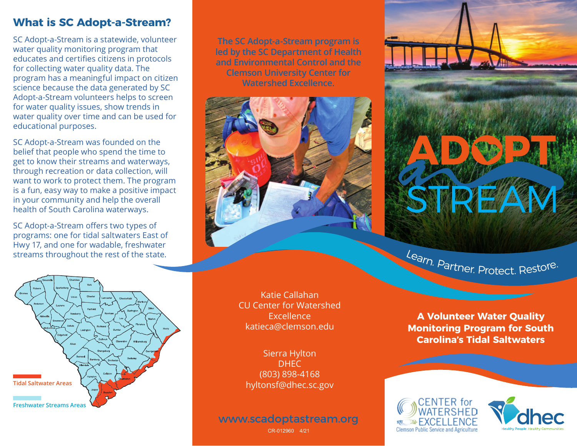# **What is SC Adopt-a-Stream?**

SC Adopt-a-Stream is a statewide, volunteer water quality monitoring program that educates and certifies citizens in protocols for collecting water quality data. The program has a meaningful impact on citizen science because the data generated by SC Adopt-a-Stream volunteers helps to screen for water quality issues, show trends in water quality over time and can be used for educational purposes.

SC Adopt-a-Stream was founded on the belief that people who spend the time to get to know their streams and waterways, through recreation or data collection, will want to work to protect them. The program is a fun, easy way to make a positive impact in your community and help the overall health of South Carolina waterways.

SC Adopt-a-Stream offers two types of programs: one for tidal saltwaters East of Hwy 17, and one for wadable, freshwater streams throughout the rest of the state.

**The SC Adopt-a-Stream program is led by the SC Department of Health and Environmental Control and the Clemson University Center for Watershed Excellence.**



Katie Callahan CU Center for Watershed Excellence katieca@clemson.edu

Sierra Hylton DHEC (803) 898-4168 hyltonsf@dhec.sc.gov

www.scadoptastream.org

CR-012960 4/21



Learn. Partner. Protect. Restore.

**A Volunteer Water Quality Monitoring Program for South Carolina's Tidal Saltwaters**